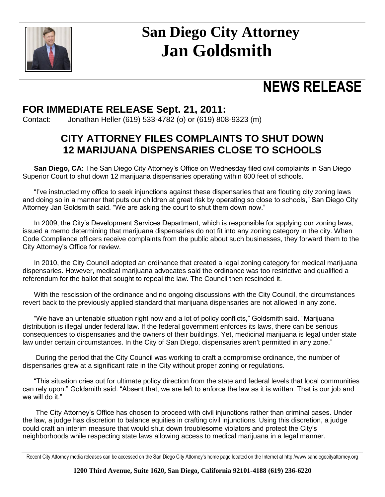

# **San Diego City Attorney Jan Goldsmith**

## **NEWS RELEASE**

## **FOR IMMEDIATE RELEASE Sept. 21, 2011:**

Contact: Jonathan Heller (619) 533-4782 (o) or (619) 808-9323 (m)

### **CITY ATTORNEY FILES COMPLAINTS TO SHUT DOWN 12 MARIJUANA DISPENSARIES CLOSE TO SCHOOLS**

**San Diego, CA:** The San Diego City Attorney's Office on Wednesday filed civil complaints in San Diego Superior Court to shut down 12 marijuana dispensaries operating within 600 feet of schools.

"I've instructed my office to seek injunctions against these dispensaries that are flouting city zoning laws and doing so in a manner that puts our children at great risk by operating so close to schools," San Diego City Attorney Jan Goldsmith said. "We are asking the court to shut them down now."

In 2009, the City's Development Services Department, which is responsible for applying our zoning laws, issued a memo determining that marijuana dispensaries do not fit into any zoning category in the city. When Code Compliance officers receive complaints from the public about such businesses, they forward them to the City Attorney's Office for review.

In 2010, the City Council adopted an ordinance that created a legal zoning category for medical marijuana dispensaries. However, medical marijuana advocates said the ordinance was too restrictive and qualified a referendum for the ballot that sought to repeal the law. The Council then rescinded it.

With the rescission of the ordinance and no ongoing discussions with the City Council, the circumstances revert back to the previously applied standard that marijuana dispensaries are not allowed in any zone.

"We have an untenable situation right now and a lot of policy conflicts," Goldsmith said. "Marijuana distribution is illegal under federal law. If the federal government enforces its laws, there can be serious consequences to dispensaries and the owners of their buildings. Yet, medicinal marijuana is legal under state law under certain circumstances. In the City of San Diego, dispensaries aren't permitted in any zone."

During the period that the City Council was working to craft a compromise ordinance, the number of dispensaries grew at a significant rate in the City without proper zoning or regulations.

"This situation cries out for ultimate policy direction from the state and federal levels that local communities can rely upon." Goldsmith said. "Absent that, we are left to enforce the law as it is written. That is our job and we will do it."

The City Attorney's Office has chosen to proceed with civil injunctions rather than criminal cases. Under the law, a judge has discretion to balance equities in crafting civil injunctions. Using this discretion, a judge could craft an interim measure that would shut down troublesome violators and protect the City's neighborhoods while respecting state laws allowing access to medical marijuana in a legal manner.

Recent City Attorney media releases can be accessed on the San Diego City Attorney's home page located on the Internet at http://www.sandiegocityattorney.org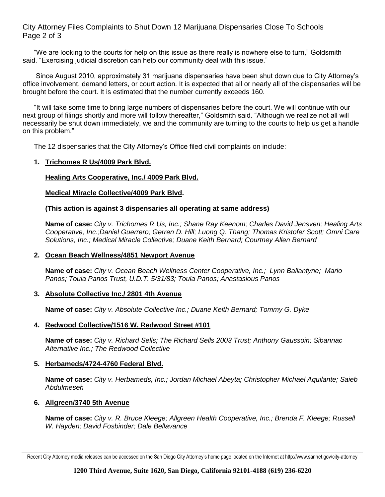City Attorney Files Complaints to Shut Down 12 Marijuana Dispensaries Close To Schools Page 2 of 3

"We are looking to the courts for help on this issue as there really is nowhere else to turn," Goldsmith said. "Exercising judicial discretion can help our community deal with this issue."

Since August 2010, approximately 31 marijuana dispensaries have been shut down due to City Attorney's office involvement, demand letters, or court action. It is expected that all or nearly all of the dispensaries will be brought before the court. It is estimated that the number currently exceeds 160.

"It will take some time to bring large numbers of dispensaries before the court. We will continue with our next group of filings shortly and more will follow thereafter," Goldsmith said. "Although we realize not all will necessarily be shut down immediately, we and the community are turning to the courts to help us get a handle on this problem."

The 12 dispensaries that the City Attorney's Office filed civil complaints on include:

#### **1. Trichomes R Us/4009 Park Blvd.**

#### **Healing Arts Cooperative, Inc./ 4009 Park Blvd.**

#### **Medical Miracle Collective/4009 Park Blvd.**

#### **(This action is against 3 dispensaries all operating at same address)**

**Name of case:** *City v. Trichomes R Us, Inc.; Shane Ray Keenom; Charles David Jensven; Healing Arts Cooperative, Inc.;Daniel Guerrero; Gerren D. Hill; Luong Q. Thang; Thomas Kristofer Scott; Omni Care Solutions, Inc.; Medical Miracle Collective; Duane Keith Bernard; Courtney Allen Bernard*

#### **2. Ocean Beach Wellness/4851 Newport Avenue**

**Name of case:** *City v. Ocean Beach Wellness Center Cooperative, Inc.; Lynn Ballantyne; Mario Panos; Toula Panos Trust, U.D.T. 5/31/83; Toula Panos; Anastasious Panos*

#### **3. Absolute Collective Inc./ 2801 4th Avenue**

**Name of case:** *City v. Absolute Collective Inc.; Duane Keith Bernard; Tommy G. Dyke* 

#### **4. Redwood Collective/1516 W. Redwood Street #101**

**Name of case:** *City v. Richard Sells; The Richard Sells 2003 Trust; Anthony Gaussoin; Sibannac Alternative Inc.; The Redwood Collective*

#### **5. Herbameds/4724-4760 Federal Blvd.**

**Name of case:** *City v. Herbameds, Inc.; Jordan Michael Abeyta; Christopher Michael Aquilante; Saieb Abdulmeseh*

#### **6. Allgreen/3740 5th Avenue**

**Name of case:** *City v. R. Bruce Kleege; Allgreen Health Cooperative, Inc.; Brenda F. Kleege; Russell W. Hayden; David Fosbinder; Dale Bellavance* 

Recent City Attorney media releases can be accessed on the San Diego City Attorney's home page located on the Internet at http://www.sannet.gov/city-attorney